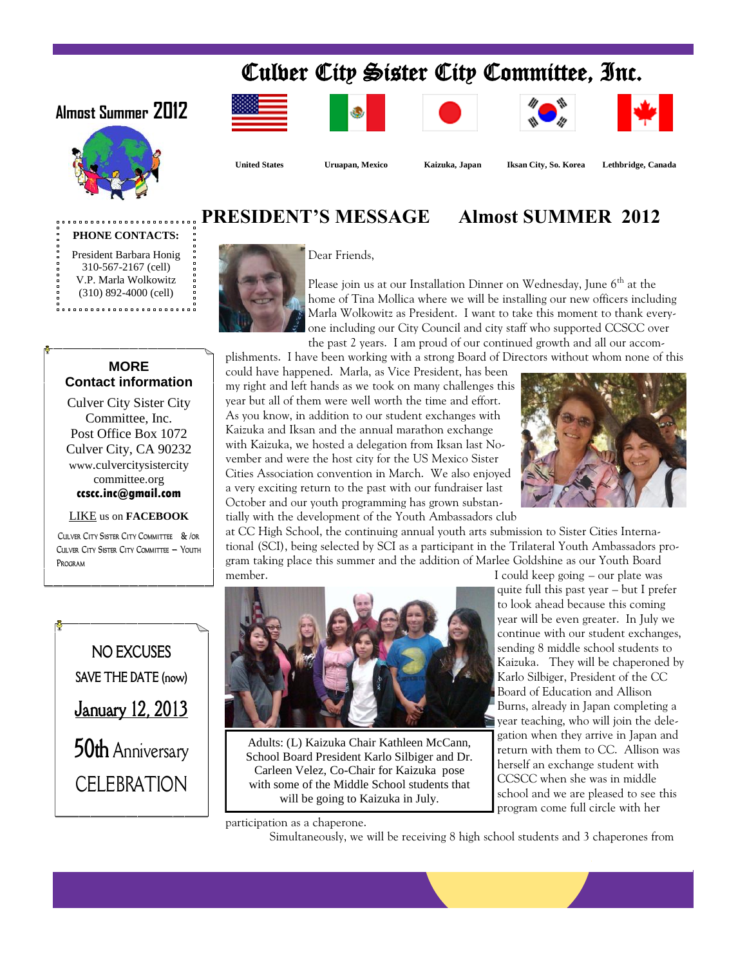# Culver City Sister City Committee, Inc.

### **Almost Summer 2012**

















Dear Friends,

 **United States Uruapan, Mexico Kaizuka, Japan Iksan City, So. Korea Lethbridge, Canada**

## **PRESIDENT'S MESSAGE Almost SUMMER 2012**

**PHONE CONTACTS:** President Barbara Honig 310-567-2167 (cell) V.P. Marla Wolkowitz (310) 892-4000 (cell)



Please join us at our Installation Dinner on Wednesday, June  $6<sup>th</sup>$  at the home of Tina Mollica where we will be installing our new officers including Marla Wolkowitz as President. I want to take this moment to thank everyone including our City Council and city staff who supported CCSCC over the past 2 years. I am proud of our continued growth and all our accom-

plishments. I have been working with a strong Board of Directors without whom none of this

### **MORE Contact information**

Culver City Sister City Committee, Inc. Post Office Box 1072 Culver City, CA 90232 www.culvercitysistercity committee.org **ccscc.inc@gmail.com**

#### LIKE us on **FACEBOOK**

**Culver City Sister City Committee & /or Culver City Sister City Committee — Youth Program**

could have happened. Marla, as Vice President, has been my right and left hands as we took on many challenges this year but all of them were well worth the time and effort. As you know, in addition to our student exchanges with Kaizuka and Iksan and the annual marathon exchange with Kaizuka, we hosted a delegation from Iksan last November and were the host city for the US Mexico Sister Cities Association convention in March. We also enjoyed a very exciting return to the past with our fundraiser last October and our youth programming has grown substantially with the development of the Youth Ambassadors club



at CC High School, the continuing annual youth arts submission to Sister Cities International (SCI), being selected by SCI as a participant in the Trilateral Youth Ambassadors program taking place this summer and the addition of Marlee Goldshine as our Youth Board member. I could keep going – our plate was





Adults: (L) Kaizuka Chair Kathleen McCann, School Board President Karlo Silbiger and Dr. Carleen Velez, Co-Chair for Kaizuka pose with some of the Middle School students that will be going to Kaizuka in July.

participation as a chaperone.

Simultaneously, we will be receiving 8 high school students and 3 chaperones from

quite full this past year – but I prefer to look ahead because this coming year will be even greater. In July we continue with our student exchanges, sending 8 middle school students to Kaizuka. They will be chaperoned by Karlo Silbiger, President of the CC Board of Education and Allison Burns, already in Japan completing a year teaching, who will join the delegation when they arrive in Japan and return with them to CC. Allison was herself an exchange student with CCSCC when she was in middle school and we are pleased to see this program come full circle with her